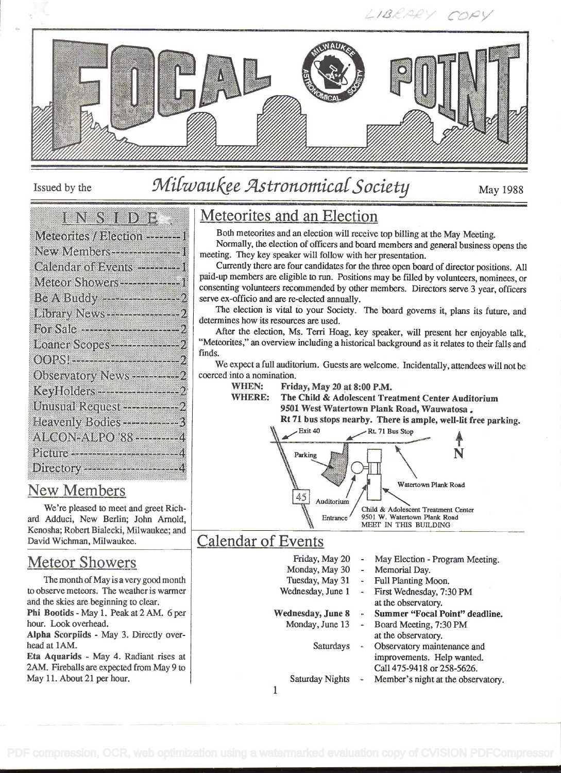

Issued by the

# Milwaukee Astronomical Society

May 1988

|  |  |  |  |  |  |  |  |  |  |  |  |  |  |  |  |  |  |  |  | <b>ENNY OD DE</b> |  |  |
|--|--|--|--|--|--|--|--|--|--|--|--|--|--|--|--|--|--|--|--|-------------------|--|--|
|  |  |  |  |  |  |  |  |  |  |  |  |  |  |  |  |  |  |  |  |                   |  |  |
|  |  |  |  |  |  |  |  |  |  |  |  |  |  |  |  |  |  |  |  |                   |  |  |
|  |  |  |  |  |  |  |  |  |  |  |  |  |  |  |  |  |  |  |  |                   |  |  |

| Meteorites / Blection --------1                      |  |
|------------------------------------------------------|--|
| New Members----------------1                         |  |
| Calendar of Events ---------1                        |  |
| Meteor Showers ---------------1                      |  |
|                                                      |  |
| <b>Library News --------------------------------</b> |  |
|                                                      |  |
| Loaner Scopes----------------- 2                     |  |
| Observatory News ------------ 2                      |  |
| Kay toldar - - - - - - - - - - - - - - 2             |  |
| Umisual Request - - - - - - - - - 2                  |  |
| Heavenly Bodies-----------3                          |  |
| ALCON-ALPO 88 --------- 4                            |  |
|                                                      |  |
| Directory ----------------------4                    |  |

## **New Members**

We're pleased to meet and greet Richard Adduci, New Berlin; John Arnold, Kenosha; Robert Bialecki, Milwaukee; and David Wichman, Milwaukee.

# **Meteor Showers**

The month of May is a very good month to observe meteors. The weather is warmer and the skies are beginning to clear. Phi Bootids - May 1. Peak at 2 AM. 6 per hour. Look overhead. Alpha Scorpiids - May 3. Directly overhead at 1AM. Eta Aquarids - May 4. Radiant rises at

2AM. Fireballs are expected from May 9 to May 11. About 21 per hour.

# Meteorites and an Election

Both meteorites and an election will receive top billing at the May Meeting.

Normally, the election of officers and board members and general business opens the meeting. They key speaker will follow with her presentation.

Currently there are four candidates for the three open board of director positions. All paid-up members are eligible to run. Positions may be filled by volunteers, nominees, or consenting volunteers recommended by other members. Directors serve 3 year, officers serve ex-officio and are re-elected annually.

The election is vital to your Society. The board governs it, plans its future, and determines how its resources are used.

After the election, Ms. Terri Hoag, key speaker, will present her enjoyable talk, "Meteorites," an overview including a historical background as it relates to their falls and finds.

We expect a full auditorium. Guests are welcome. Incidentally, attendees will not be coerced into a nomination.

**WHEN:** Friday, May 20 at 8:00 P.M.

**WHERE:** The Child & Adolescent Treatment Center Auditorium 9501 West Watertown Plank Road, Wauwatosa.

Rt 71 bus stops nearby. There is ample, well-lit free parking.

![](_page_0_Figure_22.jpeg)

## **Calendar of Events**

| Friday, May 20           | $\overline{a}$           | May Election - Program Meeting.    |
|--------------------------|--------------------------|------------------------------------|
| Monday, May 30           | -                        | Memorial Day.                      |
| Tuesday, May 31          | $\tilde{\phantom{a}}$    | Full Planting Moon.                |
| Wednesday, June 1        | $\overline{\phantom{a}}$ | First Wednesday, 7:30 PM           |
|                          |                          | at the observatory.                |
| <b>Wednesday, June 8</b> | ь                        | Summer "Focal Point" deadline.     |
| Monday, June 13          | m,                       | Board Meeting, 7:30 PM             |
|                          |                          | at the observatory.                |
| Saturdays                | $\triangleq$             | Observatory maintenance and        |
|                          |                          | improvements. Help wanted.         |
|                          |                          | Call 475-9418 or 258-5626.         |
| <b>Saturday Nights</b>   | i.                       | Member's night at the observatory. |

 $\mathbf{1}$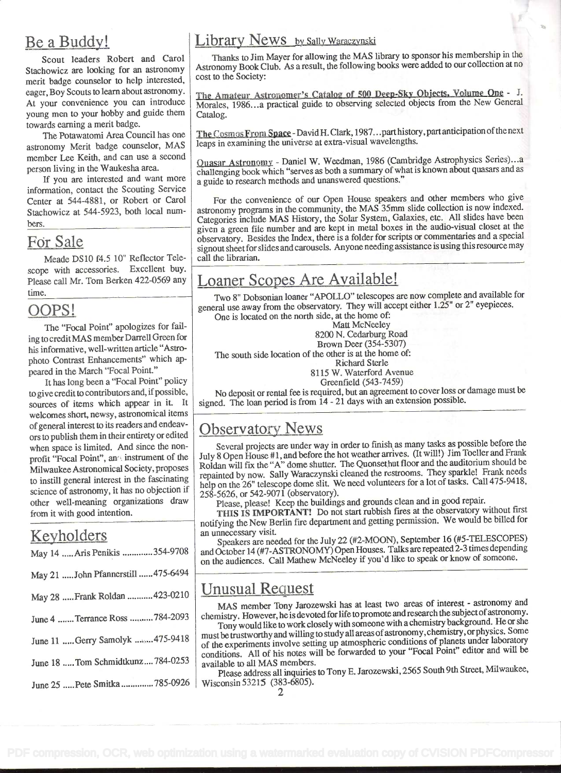# Be a Buddy!

Scout leaders Robert and Carol Stachowicz are looking for an astronomy merit badge counselor to help interested, eager, Boy Scouts to learn about astronomy. At your convenience you can introduce young men to your hobby and guide them towards earning a merit badge.

The Potawatomi Area Council has one astronomy Merit badge counselor, MAS member Lee Keith, and can use a second person living in the Waukesha area.

information, contact the Scouting Service Center at 544-4881, or Robert or Carol Stachowicz at 544-5923, both local numbers.

#### Fór Sale

Meade DS10 f4.5 10" Reflector Telescope with accessories. Excellent buy. Please call Mr. Tom Berken 422-0569 any time.

#### OOPS!

The "Focal Point" apologizes for failing to creditMAS member Darrell Green for his informative, well-written article "Astrophoto Contrast Enhancements" which appeared in the March "Focal Point."

It has long been a "Focal Point" policy to give credit to contributors and, if possible, sources of items which appear in it. It welcomes short, newsy, astronomical items of general interest to its readers and endeavors to publish them in their entirety or edited when space is limited. And since the nonprofit "Focal Point", and instrument of the Milwaukee Astronomical Society, proposes to instill general interest in the fascinating science of astronomy, it has no objection if other well-meaning organizations draw from it with good intention.

# Keyholders

| May 14  Aris Penikis 354-9708       | and<br>on.      |
|-------------------------------------|-----------------|
| May 21  John Pfannerstill  475-6494 |                 |
| May 28  Frank Roldan  423-0210      | $\overline{U}$  |
| June 4  Terrance Ross  784-2093     | ch <sub>6</sub> |
| June 11 Gerry Samolyk 475-9418      | mu<br>of        |
| June 18  Tom Schmidtkunz 784-0253   | COI<br>av:      |
| June 25  Pete Smitka  785-0926      | Wi              |

#### Library News by Sally Waraczynski

Thanks to Jim Mayer for allowing the MAS library to sponsor his membership in the Astronomy Book Club. As a result, the following books were added to our collection at no cost to the Society:

The Amateur Astronomer's Catalog of 500 Deep-Sky Objects. Volume One - J. Morales, 1986. . .a practical guide to observing selected objects from the New General Catalog.

The Cosmos From Space - David H. Clark, 1987... part history, part anticipation of the next leaps in examining the universe at extra-visual wavelengths.

If you are interested and want more  $\int$  a guide to research methods and unanswered questions." Ouasar Astronomy - Daniel W. Weedman, 1986 (Cambridge Astrophysics Series). . challenging book which "serves as both a summary of what is known about quasars and as

> For the convenience of our Open House speakers and other members who give astronomy programs in the community, the MAS 35mm slide collection is now indexed. Categories include MAS History, the Solar System, Galaxies, etc. All slides have been given a green file number and are kept in metal boxes in the audio-visual closet at the observatory. Besides the Index, there is a folder for scripts or commentaries and a special signout sheetfor slides and carousels. Anyone needing assistance is using this resource may call the librarian.

# Loaner Scopes Are Available!

Two 8" Dobsonian loaner "APOLLO" telescopes are now complete and available for general use away from the observatory. They will accept either  $1.25$ " or  $2$ " eyepieces. One is located on the north side, at the home of:

Matt McNeeley

8200 N. Cedarburg Road

Brown Deer (354-5307) The south side location of the other is at the home of:

Richard Sterle

8115 W. Waterford Avenue

Greenfield (543-7459)

No deposit or rental fee is required, but an agreement to cover loss or damage must be signed. The loan period is from 14 - 21 days with an extension possible.

## **Observatory News**

Several projects are under way in order to finish, as many tasks as possible before the July 8 Open House #1, and before the hot weather arrives. (It will!) Jim Toeller and Frank Roldan will fix the "A" dome shutter. The Quonsethut floor and the auditorium should be repainted by now. Sally Waraczynski cleaned the restrooms. They sparkle! Frank needs help on the 26" telescope dome slit. We need volunteers for a lot of tasks. Call 475-9418, 258-5626, or 542-9071 (observatory).

Please, please! Keep the buildings and grounds clean and in good repair.

THIS IS IMPORTANT! Do not start rubbish fires at the observatory without first notifying the New Berlin fire department and getting permission. We would be billed for an unnecessary visit.

Speakers are needed for the July 22 (#2-MOON), September 16 (#5-TELESCOPES) and October 14 (#7-ASTRONOMY) Open Houses. Talks are repeated 2-3 times depending on the audiences. Call Mathew McNeeley if you'd like to speak or know of someone.

#### Unusual Request

MAS member Tony Jarozewski has at least two areas of interest - astronomy and chemistry. However, he is devoted forlife topromote andresearch the subject of astronomy.

Tony would like to work closely with someone with a chemistry background. He or she must be trustworthy and willing to study all areas of astronomy, chemistry, or physics. Some of the experiments involve setting up atmospheric conditions of planets under laboratory conditions. All of his notes will be forwarded to your "Focal Point" editor and will be available to all MAS members.

Please address all inquiries to Tony E. Jarozewski, 2565 South 9th Street, Milwaukee, Wisconsin 53215 (383-6805).

2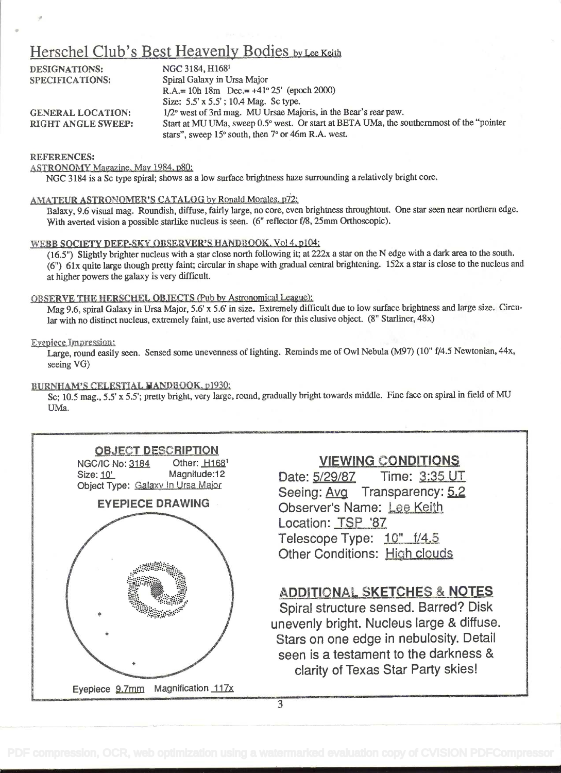### Herschel Club's Best Heavenly Bodies by Lee Keith

| <b>DESIGNATIONS:</b>      | NGC 3184, H1681                                                                          |  |
|---------------------------|------------------------------------------------------------------------------------------|--|
| SPECIFICATIONS:           | Spiral Galaxy in Ursa Major                                                              |  |
|                           | R.A.= 10h 18m Dec.= $+41^{\circ} 25'$ (epoch 2000)                                       |  |
|                           | Size: 5.5' x 5.5'; 10.4 Mag. Sc type.                                                    |  |
| <b>GENERAL LOCATION:</b>  | 1/2° west of 3rd mag. MU Ursae Majoris, in the Bear's rear paw.                          |  |
| <b>RIGHT ANGLE SWEEP:</b> | Start at MU UMa, sweep 0.5° west. Or start at BETA UMa, the southernmost of the "pointer |  |
|                           | stars", sweep 15° south, then 7° or 46m R.A. west.                                       |  |

#### REFERENCES:

ASTRONOMY Magazine, May 1984, p80:

NGC 3184 is a Sc type spiral; shows as a low surface brightness haze surrounding a relatively bright core.

#### AMATEUR ASTRONOMER'S CATALOG by Ronald Morales. p72:

Balaxy, 9.6 visual mag. Roundish, diffuse, fairly large, no core, even brightness throughtout. One star seen near northern edge. With averted vision a possible starlike nucleus is seen. (6' reflector f/8, 25mm Orthoscopic).

#### WEBB SOCIETY DEEP-SKY OBSERVER'S HANDBOOK. Vol 4, p104:

(16.5") Slightly brighter nucleus with a star close north following it; at 222x a star on the N edge with a dark area to the south. (6") 61x quite large though pretty faint; circular in shape with gradual central brightening. 152x a star is close to the nucleus and at higher powers the galaxy is very difficult.

#### OBSERVE THE HERSCHEL OBJECTS (Pub by Astronomical League):

Mag 9.6, spiral Galaxy in Ursa Major, 5.6' x 5.6' in size. Extremely difficult due to low surface brightness and large size. Circular with no distinct nucleus, extremely faint, use averted vision for this elusive object. (8" Starliner, 48x)

#### Eyepiece Impression:

Large, round easily seen. Sensed some unevenness of lighting. Reminds me of Owl Nebula (M97) (10' f/4.5 Newtonian, 44x, seeing VG)

#### BURNHAM'S CELESTIAL MANDBOOK. p1930:

Sc; 10.5 mag., 5.5' x 5.5'; pretty bright, very large, round, gradually bright towards middle. Fine face on spiral in field of MU UMa.

![](_page_2_Picture_15.jpeg)

#### VIEWING CONDITIONS

Date: 5/29/87 Time: 3:35 UT Seeing: Avg Transparency: 5.2 Observer's Name: Lee Keith Location: TSP '87 Telescope Type: 10" f/4.5 Other Conditions: High clouds

#### ADDITIONAL SKETCHES & NOTES

Spiral structure sensed. Barred? Disk unevenly bright. Nucleus large & diffuse. Stars on one edge in nebulosity. Detail seen is a testament to the darkness & clarity of Texas Star Party skies!